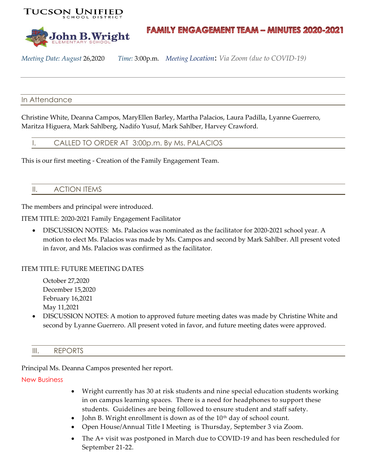



# **FAMILY ENGAGEMENT TEAM - MINUTES 2020-2021**

*Meeting Date: August* 26,2020 *Time:* 3:00p.m. *Meeting Location*: *Via Zoom (due to COVID-19)*

### In Attendance

Christine White, Deanna Campos, MaryEllen Barley, Martha Palacios, Laura Padilla, Lyanne Guerrero, Maritza Higuera, Mark Sahlberg, Nadifo Yusuf, Mark Sahlber, Harvey Crawford.

I. CALLED TO ORDER AT 3:00p.m. By Ms. PALACIOS

This is our first meeting - Creation of the Family Engagement Team.

## II. ACTION ITEMS

The members and principal were introduced.

ITEM TITLE: 2020-2021 Family Engagement Facilitator

• DISCUSSION NOTES: Ms. Palacios was nominated as the facilitator for 2020-2021 school year. A motion to elect Ms. Palacios was made by Ms. Campos and second by Mark Sahlber. All present voted in favor, and Ms. Palacios was confirmed as the facilitator.

#### ITEM TITLE: FUTURE MEETING DATES

October 27,2020 December 15,2020 February 16,2021 May 11,2021

• DISCUSSION NOTES: A motion to approved future meeting dates was made by Christine White and second by Lyanne Guerrero. All present voted in favor, and future meeting dates were approved.

#### III. REPORTS

Principal Ms. Deanna Campos presented her report.

#### New Business

- Wright currently has 30 at risk students and nine special education students working in on campus learning spaces. There is a need for headphones to support these students. Guidelines are being followed to ensure student and staff safety.
- John B. Wright enrollment is down as of the  $10<sup>th</sup>$  day of school count.
- Open House/Annual Title I Meeting is Thursday, September 3 via Zoom.
- The A+ visit was postponed in March due to COVID-19 and has been rescheduled for September 21-22.